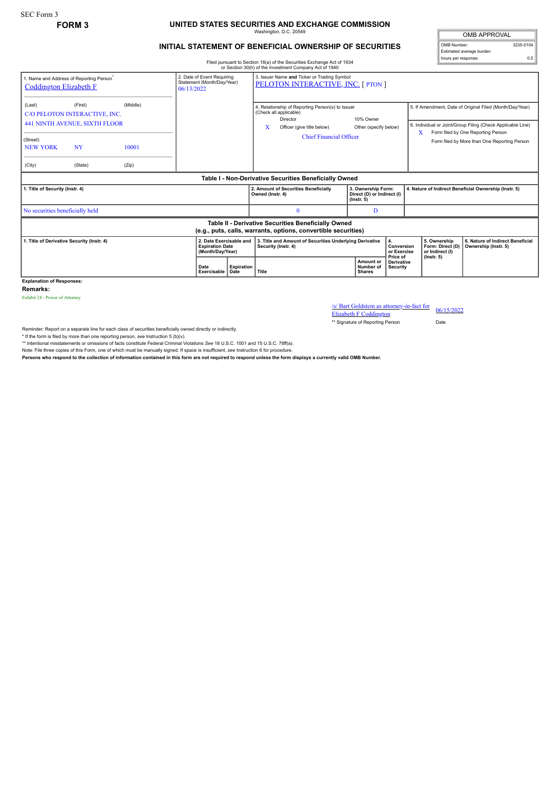## **FORM 3 UNITED STATES SECURITIES AND EXCHANGE COMMISSION** Washington, D.C. 20549

## **INITIAL STATEMENT OF BENEFICIAL OWNERSHIP OF SECURITIES**

OMB APPROVAL OMB Number: 3235-0104 Estimated average burden hours per response: 0.5

Filed pursuant to Section 16(a) of the Securities Exchange Act of 1934 or Section 30(h) of the Investment Company Act of 1940

| 1. Name and Address of Reporting Person <sup>*</sup><br><b>Coddington Elizabeth F</b>                                 |                                                                                                          | 2. Date of Event Requiring<br>Statement (Month/Day/Year)<br>06/13/2022 |                     | 3. Issuer Name and Ticker or Trading Symbol<br>PELOTON INTERACTIVE, INC. [ PTON ] |                                                                                                                                                             |                                                                      |                                                     |                                                          |                                                                                                                                                                                                               |
|-----------------------------------------------------------------------------------------------------------------------|----------------------------------------------------------------------------------------------------------|------------------------------------------------------------------------|---------------------|-----------------------------------------------------------------------------------|-------------------------------------------------------------------------------------------------------------------------------------------------------------|----------------------------------------------------------------------|-----------------------------------------------------|----------------------------------------------------------|---------------------------------------------------------------------------------------------------------------------------------------------------------------------------------------------------------------|
| (Last)<br>(Street)<br><b>NEW YORK</b><br>(City)                                                                       | (First)<br>C/O PELOTON INTERACTIVE, INC.<br><b>441 NINTH AVENUE, SIXTH FLOOR</b><br><b>NY</b><br>(State) | (Middle)<br>10001<br>(Zip)                                             |                     |                                                                                   | 4. Relationship of Reporting Person(s) to Issuer<br>(Check all applicable)<br>Director<br>x<br>Officer (give title below)<br><b>Chief Financial Officer</b> | 10% Owner<br>Other (specify below)                                   |                                                     | X                                                        | 5. If Amendment, Date of Original Filed (Month/Day/Year)<br>6. Individual or Joint/Group Filing (Check Applicable Line)<br>Form filed by One Reporting Person<br>Form filed by More than One Reporting Person |
| Table I - Non-Derivative Securities Beneficially Owned                                                                |                                                                                                          |                                                                        |                     |                                                                                   |                                                                                                                                                             |                                                                      |                                                     |                                                          |                                                                                                                                                                                                               |
| 1. Title of Security (Instr. 4)                                                                                       |                                                                                                          |                                                                        |                     |                                                                                   | 2. Amount of Securities Beneficially<br>Owned (Instr. 4)                                                                                                    | 3. Ownership Form:<br>Direct (D) or Indirect (I)<br>$($ lnstr. 5 $)$ |                                                     | 4. Nature of Indirect Beneficial Ownership (Instr. 5)    |                                                                                                                                                                                                               |
| No securities beneficially held                                                                                       |                                                                                                          |                                                                        |                     |                                                                                   | $\Omega$                                                                                                                                                    | D                                                                    |                                                     |                                                          |                                                                                                                                                                                                               |
| Table II - Derivative Securities Beneficially Owned<br>(e.g., puts, calls, warrants, options, convertible securities) |                                                                                                          |                                                                        |                     |                                                                                   |                                                                                                                                                             |                                                                      |                                                     |                                                          |                                                                                                                                                                                                               |
| 2. Date Exercisable and<br>1. Title of Derivative Security (Instr. 4)<br><b>Expiration Date</b><br>(Month/Day/Year)   |                                                                                                          |                                                                        |                     |                                                                                   | 3. Title and Amount of Securities Underlying Derivative<br>4.<br>Conversion<br>Security (Instr. 4)<br>or Exercise                                           |                                                                      | 5. Ownership<br>Form: Direct (D)<br>or Indirect (I) | 6. Nature of Indirect Beneficial<br>Ownership (Instr. 5) |                                                                                                                                                                                                               |
|                                                                                                                       |                                                                                                          |                                                                        | Date<br>Exercisable | <b>Expiration</b><br>Date                                                         | Title                                                                                                                                                       | Amount or<br>Number of<br><b>Shares</b>                              | Price of<br><b>Derivative</b><br>Security           | $($ lnstr. 5 $)$                                         |                                                                                                                                                                                                               |

**Explanation of Responses:**

**Remarks:**

Exhibit 24 - Power of Attorney

/s/ Bart Goldstein as attorney-in-fact for Elizabeth F Coddington 06/15/2022

\*\* Signature of Reporting Person Date

Reminder: Report on a separate line for each class of securities beneficially owned directly or indirectly.

\* If the form is filed by more than one reporting person, see Instruction 5 (b)(v).<br>\*\* Intentional misstatements or omissions of facts constitute Federal Criminal Violations See 18 U.S.C. 1001 and 15 U.S.C. 78ff(a).

Note: File three copies of this Form, one of which must be manually signed. If space is insufficient, *see* Instruction 6 for procedure.

**Persons who respond to the collection of information contained in this form are not required to respond unless the form displays a currently valid OMB Number.**